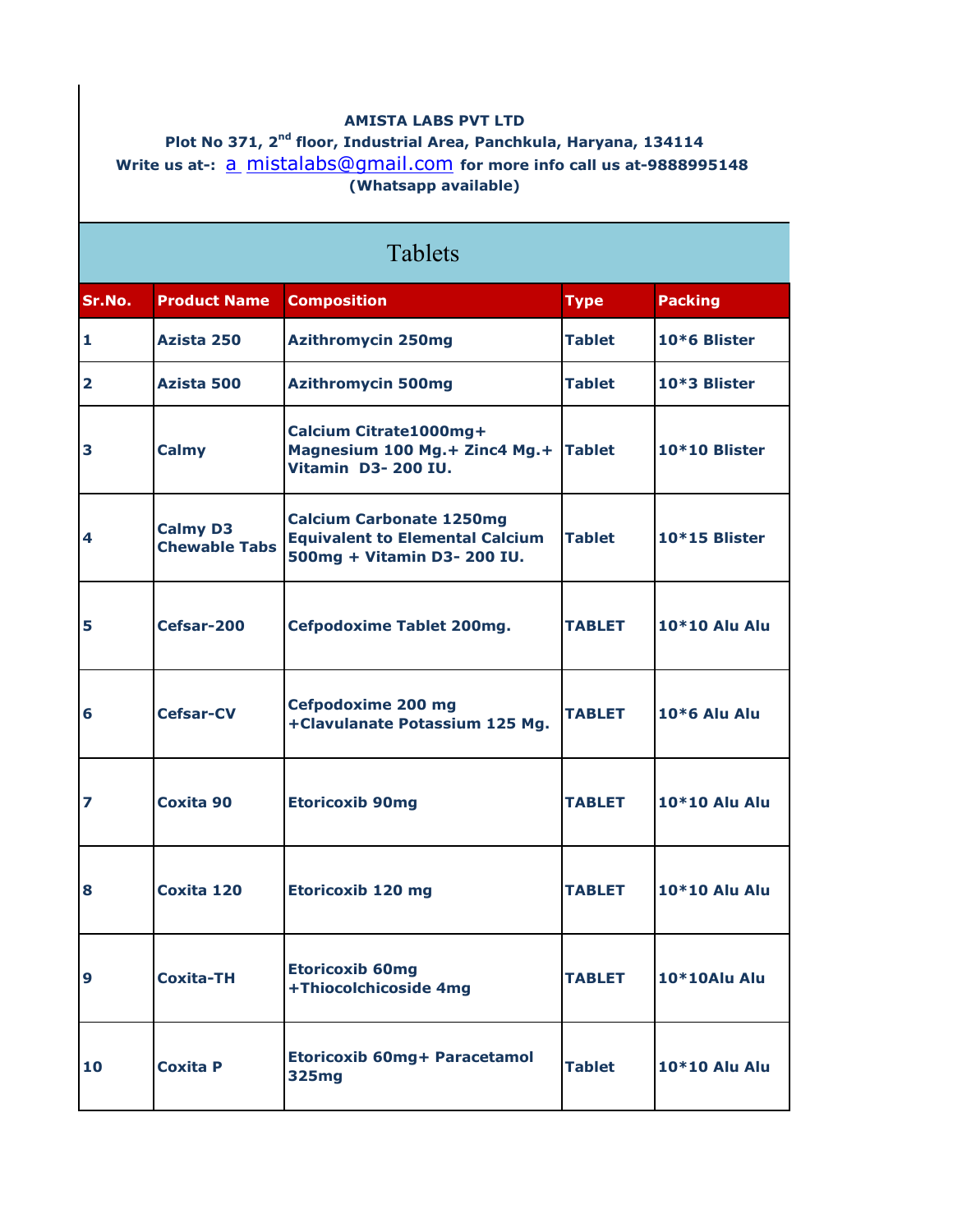## **AMISTA LABS PVT LTD**

**Plot No 371, 2nd floor, Industrial Area, Panchkula, Haryana, 134114** Write us at-: <u>a mistalabs@gmail.com</u> for more info call us at-9888995148 **(Whatsapp available)**

| <b>Tablets</b> |                                         |                                                                                                          |               |                      |
|----------------|-----------------------------------------|----------------------------------------------------------------------------------------------------------|---------------|----------------------|
| Sr.No.         | <b>Product Name</b>                     | <b>Composition</b>                                                                                       | <b>Type</b>   | <b>Packing</b>       |
| 1              | Azista 250                              | <b>Azithromycin 250mg</b>                                                                                | <b>Tablet</b> | 10*6 Blister         |
| 2              | Azista 500                              | <b>Azithromycin 500mg</b>                                                                                | <b>Tablet</b> | 10*3 Blister         |
| 3              | <b>Calmy</b>                            | Calcium Citrate1000mg+<br>Magnesium 100 Mg.+ Zinc4 Mg.+<br>Vitamin D3-200 IU.                            | <b>Tablet</b> | 10*10 Blister        |
| 4              | <b>Calmy D3</b><br><b>Chewable Tabs</b> | <b>Calcium Carbonate 1250mg</b><br><b>Equivalent to Elemental Calcium</b><br>500mg + Vitamin D3- 200 IU. | <b>Tablet</b> | 10*15 Blister        |
| 5              | Cefsar-200                              | <b>Cefpodoxime Tablet 200mg.</b>                                                                         | <b>TABLET</b> | 10*10 Alu Alu        |
| 6              | <b>Cefsar-CV</b>                        | Cefpodoxime 200 mg<br>+Clavulanate Potassium 125 Mg.                                                     | <b>TABLET</b> | <b>10*6 Alu Alu</b>  |
| 7              | Coxita 90                               | <b>Etoricoxib 90mg</b>                                                                                   | <b>TABLET</b> | 10*10 Alu Alu        |
| 8              | Coxita 120                              | <b>Etoricoxib 120 mg</b>                                                                                 | <b>TABLET</b> | <b>10*10 Alu Alu</b> |
| 9              | <b>Coxita-TH</b>                        | <b>Etoricoxib 60mg</b><br>+Thiocolchicoside 4mg                                                          | <b>TABLET</b> | 10*10Alu Alu         |
| 10             | <b>Coxita P</b>                         | Etoricoxib 60mg+ Paracetamol<br><b>325mg</b>                                                             | <b>Tablet</b> | <b>10*10 Alu Alu</b> |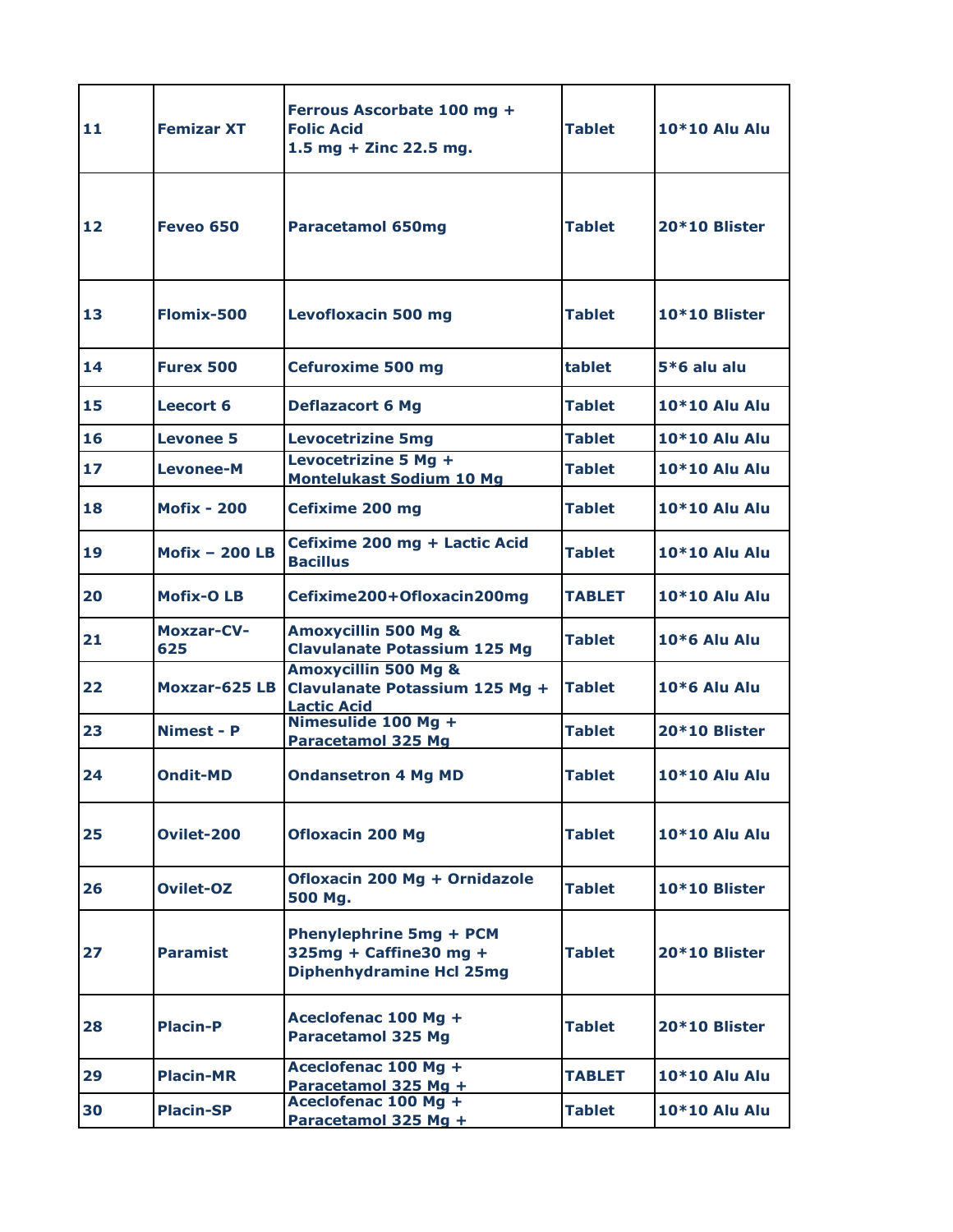| 11 | <b>Femizar XT</b>        | Ferrous Ascorbate 100 mg +<br><b>Folic Acid</b><br>1.5 mg + Zinc 22.5 mg.                   | <b>Tablet</b> | <b>10*10 Alu Alu</b> |
|----|--------------------------|---------------------------------------------------------------------------------------------|---------------|----------------------|
| 12 | Feveo 650                | <b>Paracetamol 650mg</b>                                                                    | <b>Tablet</b> | 20*10 Blister        |
| 13 | Flomix-500               | <b>Levofloxacin 500 mg</b>                                                                  | <b>Tablet</b> | 10*10 Blister        |
| 14 | <b>Furex 500</b>         | <b>Cefuroxime 500 mg</b>                                                                    | tablet        | $5*6$ alu alu        |
| 15 | Leecort 6                | <b>Deflazacort 6 Mg</b>                                                                     | Tablet        | <b>10*10 Alu Alu</b> |
| 16 | <b>Levonee 5</b>         | <b>Levocetrizine 5mg</b>                                                                    | <b>Tablet</b> | 10*10 Alu Alu        |
| 17 | <b>Levonee-M</b>         | Levocetrizine 5 Mg +<br><b>Montelukast Sodium 10 Mg</b>                                     | Tablet        | 10*10 Alu Alu        |
| 18 | <b>Mofix - 200</b>       | Cefixime 200 mg                                                                             | Tablet        | 10*10 Alu Alu        |
| 19 | Mofix $-200$ LB          | Cefixime 200 mg + Lactic Acid<br><b>Bacillus</b>                                            | <b>Tablet</b> | 10*10 Alu Alu        |
| 20 | <b>Mofix-OLB</b>         | Cefixime200+Ofloxacin200mg                                                                  | <b>TABLET</b> | 10*10 Alu Alu        |
| 21 | <b>Moxzar-CV-</b><br>625 | <b>Amoxycillin 500 Mg &amp;</b><br><b>Clavulanate Potassium 125 Mg</b>                      | Tablet        | $10*6$ Alu Alu       |
| 22 | Moxzar-625 LB            | <b>Amoxycillin 500 Mg &amp;</b><br>Clavulanate Potassium 125 Mg +<br><b>Lactic Acid</b>     | Tablet        | <b>10*6 Alu Alu</b>  |
| 23 | <b>Nimest - P</b>        | Nimesulide 100 Mg +<br><b>Paracetamol 325 Mg</b>                                            | <b>Tablet</b> | 20*10 Blister        |
| 24 | <b>Ondit-MD</b>          | <b>Ondansetron 4 Mg MD</b>                                                                  | <b>Tablet</b> | 10*10 Alu Alu        |
| 25 | Ovilet-200               | <b>Ofloxacin 200 Mg</b>                                                                     | <b>Tablet</b> | <b>10*10 Alu Alu</b> |
| 26 | Ovilet-OZ                | Ofloxacin 200 Mg + Ornidazole<br>500 Mg.                                                    | <b>Tablet</b> | 10*10 Blister        |
| 27 | <b>Paramist</b>          | <b>Phenylephrine 5mg + PCM</b><br>325mg + Caffine30 mg +<br><b>Diphenhydramine Hcl 25mg</b> | <b>Tablet</b> | 20*10 Blister        |
| 28 | <b>Placin-P</b>          | Aceclofenac 100 Mg +<br><b>Paracetamol 325 Mg</b>                                           | <b>Tablet</b> | 20*10 Blister        |
| 29 | <b>Placin-MR</b>         | Aceclofenac 100 Mg +<br>Paracetamol 325 Mg +                                                | TABLET        | <b>10*10 Alu Alu</b> |
| 30 | <b>Placin-SP</b>         | Aceclofenac 100 Mg +<br>Paracetamol 325 Mg +                                                | Tablet        | 10*10 Alu Alu        |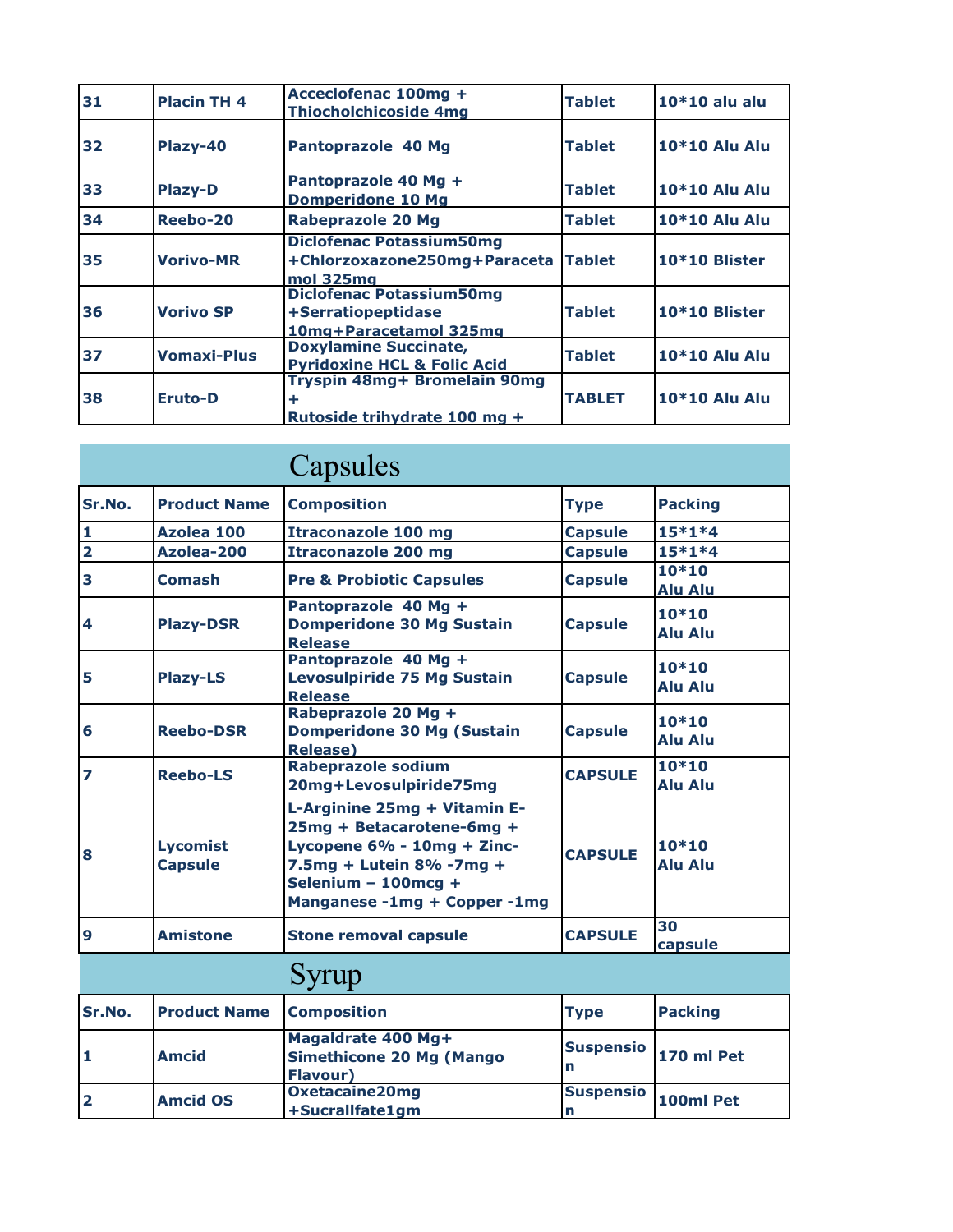| 31 | <b>Placin TH 4</b> | Acceclofenac 100mg +<br><b>Thiocholchicoside 4mg</b>                            | <b>Tablet</b> | $10*10$ alu alu      |
|----|--------------------|---------------------------------------------------------------------------------|---------------|----------------------|
| 32 | Plazy-40           | Pantoprazole 40 Mg                                                              | <b>Tablet</b> | 10*10 Alu Alu        |
| 33 | <b>Plazy-D</b>     | Pantoprazole 40 Mg +<br><b>Domperidone 10 Mg</b>                                | <b>Tablet</b> | <b>10*10 Alu Alu</b> |
| 34 | Reebo-20           | <b>Rabeprazole 20 Mg</b>                                                        | <b>Tablet</b> | <b>10*10 Alu Alu</b> |
| 35 | <b>Vorivo-MR</b>   | <b>Diclofenac Potassium50mg</b><br>+Chlorzoxazone250mg+Paraceta<br>mol 325mg    | <b>Tablet</b> | 10*10 Blister        |
| 36 | <b>Vorivo SP</b>   | <b>Diclofenac Potassium50mg</b><br>+Serratiopeptidase<br>10mg+Paracetamol 325mg | <b>Tablet</b> | 10*10 Blister        |
| 37 | <b>Vomaxi-Plus</b> | <b>Doxylamine Succinate,</b><br><b>Pyridoxine HCL &amp; Folic Acid</b>          | <b>Tablet</b> | <b>10*10 Alu Alu</b> |
| 38 | <b>Eruto-D</b>     | Tryspin 48mg+ Bromelain 90mg<br>÷<br>Rutoside trihydrate 100 mg +               | <b>TABLET</b> | <b>10*10 Alu Alu</b> |

|                         |                                   | Capsules                                                                                                                                                                   |                |                           |
|-------------------------|-----------------------------------|----------------------------------------------------------------------------------------------------------------------------------------------------------------------------|----------------|---------------------------|
| Sr.No.                  | <b>Product Name</b>               | <b>Composition</b>                                                                                                                                                         | <b>Type</b>    | <b>Packing</b>            |
| 1                       | Azolea 100                        | <b>Itraconazole 100 mg</b>                                                                                                                                                 | <b>Capsule</b> | $15*1*4$                  |
| $\overline{\mathbf{2}}$ | Azolea-200                        | <b>Itraconazole 200 mg</b>                                                                                                                                                 | <b>Capsule</b> | $15*1*4$                  |
| 3                       | <b>Comash</b>                     | <b>Pre &amp; Probiotic Capsules</b>                                                                                                                                        | <b>Capsule</b> | $10*10$<br><b>Alu Alu</b> |
| 4                       | <b>Plazy-DSR</b>                  | Pantoprazole 40 Mg +<br><b>Domperidone 30 Mg Sustain</b><br><b>Release</b>                                                                                                 | <b>Capsule</b> | $10*10$<br><b>Alu Alu</b> |
| 5                       | <b>Plazy-LS</b>                   | Pantoprazole 40 Mg +<br><b>Levosulpiride 75 Mg Sustain</b><br><b>Release</b>                                                                                               | <b>Capsule</b> | $10*10$<br><b>Alu Alu</b> |
| 6                       | <b>Reebo-DSR</b>                  | Rabeprazole 20 Mg +<br><b>Domperidone 30 Mg (Sustain</b><br><b>Release</b> )                                                                                               | <b>Capsule</b> | $10*10$<br><b>Alu Alu</b> |
| 7                       | <b>Reebo-LS</b>                   | <b>Rabeprazole sodium</b><br>20mg+Levosulpiride75mg                                                                                                                        | <b>CAPSULE</b> | $10*10$<br><b>Alu Alu</b> |
| 8                       | <b>Lycomist</b><br><b>Capsule</b> | L-Arginine 25mg + Vitamin E-<br>25mg + Betacarotene-6mg +<br>Lycopene 6% - 10mg + Zinc-<br>7.5mg + Lutein 8% -7mg +<br>Selenium - 100mcg +<br>Manganese -1mg + Copper -1mg | <b>CAPSULE</b> | $10*10$<br><b>Alu Alu</b> |
| 9                       | <b>Amistone</b>                   | <b>Stone removal capsule</b>                                                                                                                                               | <b>CAPSULE</b> | 30<br>capsule             |

## Syrup

| Sr.No. | <b>Product Name</b> | <b>Composition</b>                                                 | <b>Type</b>           | <b>Packing</b> |
|--------|---------------------|--------------------------------------------------------------------|-----------------------|----------------|
|        | <b>Amcid</b>        | Magaldrate 400 Mg+<br>Simethicone 20 Mg (Mango<br><b>Flavour</b> ) | <b>Suspensio</b><br>n | 170 ml Pet     |
|        | <b>Amcid OS</b>     | <b>Oxetacaine20mg</b><br>+Sucrallfate1gm                           | <b>Suspensio</b>      | 100ml Pet      |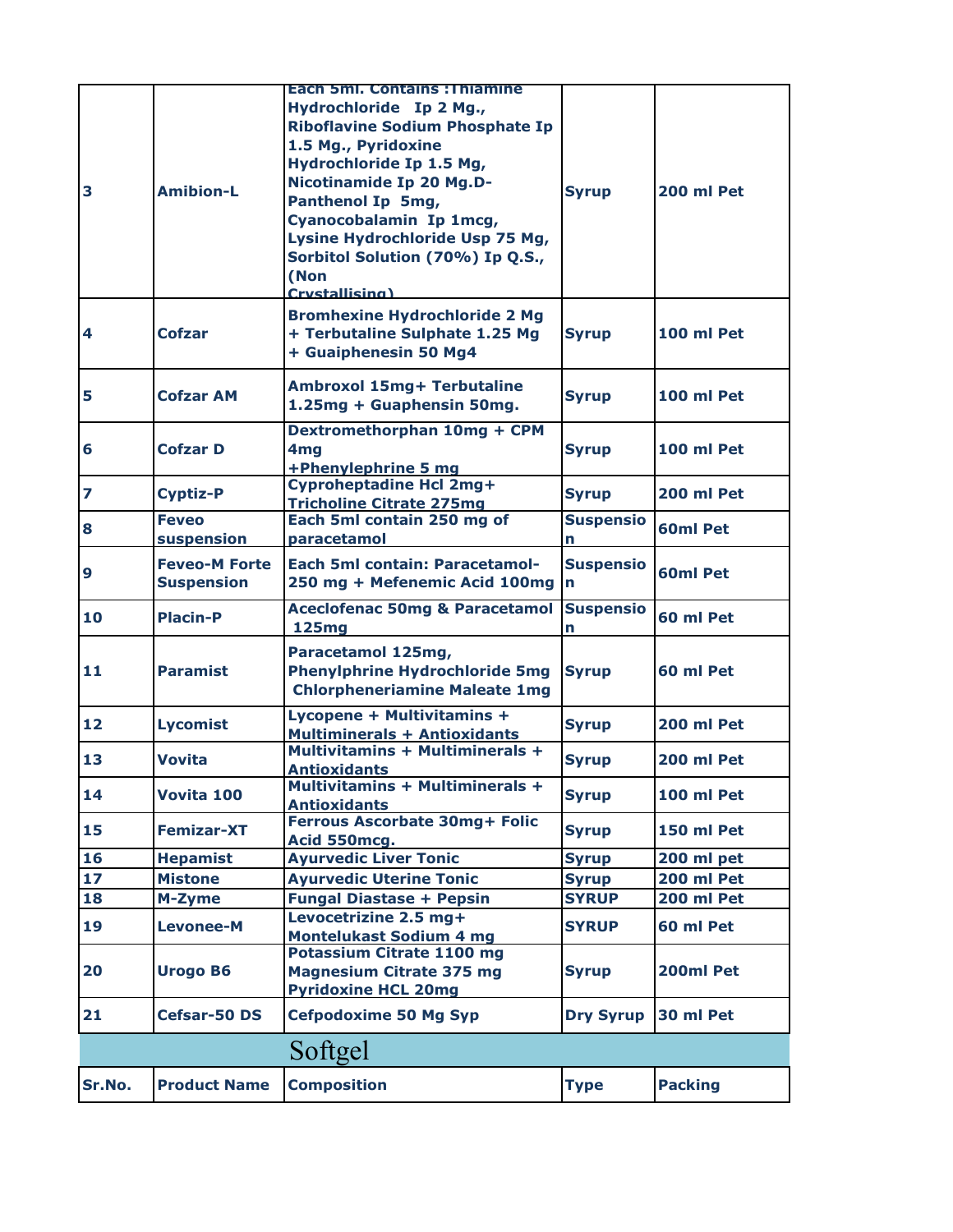| Sr.No. | <b>Product Name</b>                       | <b>Composition</b>                                                                                                                                                                                                                                                                                                                              | <b>Type</b>                     | <b>Packing</b>  |
|--------|-------------------------------------------|-------------------------------------------------------------------------------------------------------------------------------------------------------------------------------------------------------------------------------------------------------------------------------------------------------------------------------------------------|---------------------------------|-----------------|
|        |                                           | Softgel                                                                                                                                                                                                                                                                                                                                         |                                 |                 |
| 21     | Cefsar-50 DS                              | <b>Cefpodoxime 50 Mg Syp</b>                                                                                                                                                                                                                                                                                                                    | <b>Dry Syrup</b>                | 30 ml Pet       |
| 20     | <b>Urogo B6</b>                           | <b>Potassium Citrate 1100 mg</b><br><b>Magnesium Citrate 375 mg</b><br><b>Pyridoxine HCL 20mg</b>                                                                                                                                                                                                                                               | <b>Syrup</b>                    | 200ml Pet       |
| 19     | <b>Levonee-M</b>                          | Levocetrizine 2.5 mg+<br><b>Montelukast Sodium 4 mg</b>                                                                                                                                                                                                                                                                                         | <b>SYRUP</b>                    | 60 ml Pet       |
| 18     | M-Zyme                                    | <b>Fungal Diastase + Pepsin</b>                                                                                                                                                                                                                                                                                                                 | <b>SYRUP</b>                    | 200 ml Pet      |
| 17     | <b>Mistone</b>                            | <b>Ayurvedic Uterine Tonic</b>                                                                                                                                                                                                                                                                                                                  | <b>Syrup</b>                    | 200 ml Pet      |
| 16     | <b>Hepamist</b>                           | <b>Ayurvedic Liver Tonic</b>                                                                                                                                                                                                                                                                                                                    | <b>Syrup</b>                    | 200 ml pet      |
| 15     | <b>Femizar-XT</b>                         | Ferrous Ascorbate 30mg+ Folic<br>Acid 550mcg.                                                                                                                                                                                                                                                                                                   | <b>Syrup</b>                    | 150 ml Pet      |
| 14     | Vovita 100                                | <b>Multivitamins + Multiminerals +</b><br><b>Antioxidants</b>                                                                                                                                                                                                                                                                                   | <b>Syrup</b>                    | 100 ml Pet      |
| 13     | <b>Vovita</b>                             | <b>Multivitamins + Multiminerals +</b><br><b>Antioxidants</b>                                                                                                                                                                                                                                                                                   | <b>Syrup</b>                    | 200 ml Pet      |
| 12     | <b>Lycomist</b>                           | Lycopene + Multivitamins +<br><b>Multiminerals + Antioxidants</b>                                                                                                                                                                                                                                                                               | <b>Syrup</b>                    | 200 ml Pet      |
| 11     | <b>Paramist</b>                           | Paracetamol 125mg,<br><b>Phenylphrine Hydrochloride 5mg</b><br><b>Chlorpheneriamine Maleate 1mg</b>                                                                                                                                                                                                                                             | <b>Syrup</b>                    | 60 ml Pet       |
| 10     | <b>Placin-P</b>                           | <b>Aceclofenac 50mg &amp; Paracetamol</b><br><b>125mg</b>                                                                                                                                                                                                                                                                                       | <b>Suspensio</b><br>n           | 60 ml Pet       |
| 9      | <b>Feveo-M Forte</b><br><b>Suspension</b> | <b>Each 5ml contain: Paracetamol-</b><br>250 mg + Mefenemic Acid 100mg                                                                                                                                                                                                                                                                          | <b>Suspensio</b><br>$\mathbf n$ | <b>60ml Pet</b> |
| 8      | <b>Feveo</b><br>suspension                | Each 5ml contain 250 mg of<br>paracetamol                                                                                                                                                                                                                                                                                                       | <b>Suspensio</b><br>n           | 60ml Pet        |
| 7      | <b>Cyptiz-P</b>                           | <b>Cyproheptadine Hcl 2mg+</b><br><b>Tricholine Citrate 275mg</b>                                                                                                                                                                                                                                                                               | <b>Syrup</b>                    | 200 ml Pet      |
| 6      | <b>Cofzar D</b>                           | Dextromethorphan 10mg + CPM<br>4 <sub>mg</sub><br>+Phenylephrine 5 mg                                                                                                                                                                                                                                                                           | <b>Syrup</b>                    | 100 ml Pet      |
| 5      | <b>Cofzar AM</b>                          | Ambroxol 15mg+ Terbutaline<br>1.25mg + Guaphensin 50mg.                                                                                                                                                                                                                                                                                         | <b>Syrup</b>                    | 100 ml Pet      |
| 4      | <b>Cofzar</b>                             | <b>Bromhexine Hydrochloride 2 Mg</b><br>+ Terbutaline Sulphate 1.25 Mg<br>+ Guaiphenesin 50 Mg4                                                                                                                                                                                                                                                 | <b>Syrup</b>                    | 100 ml Pet      |
| 3      | <b>Amibion-L</b>                          | <b>Each 5ml. Contains: Thiamine</b><br>Hydrochloride Ip 2 Mg.,<br><b>Riboflavine Sodium Phosphate Ip</b><br>1.5 Mg., Pyridoxine<br>Hydrochloride Ip 1.5 Mg,<br><b>Nicotinamide Ip 20 Mg.D-</b><br>Panthenol Ip 5mg,<br>Cyanocobalamin Ip 1mcg,<br>Lysine Hydrochloride Usp 75 Mg,<br>Sorbitol Solution (70%) Ip Q.S.,<br>(Non<br>Crystallising) | <b>Syrup</b>                    | 200 ml Pet      |
|        |                                           |                                                                                                                                                                                                                                                                                                                                                 |                                 |                 |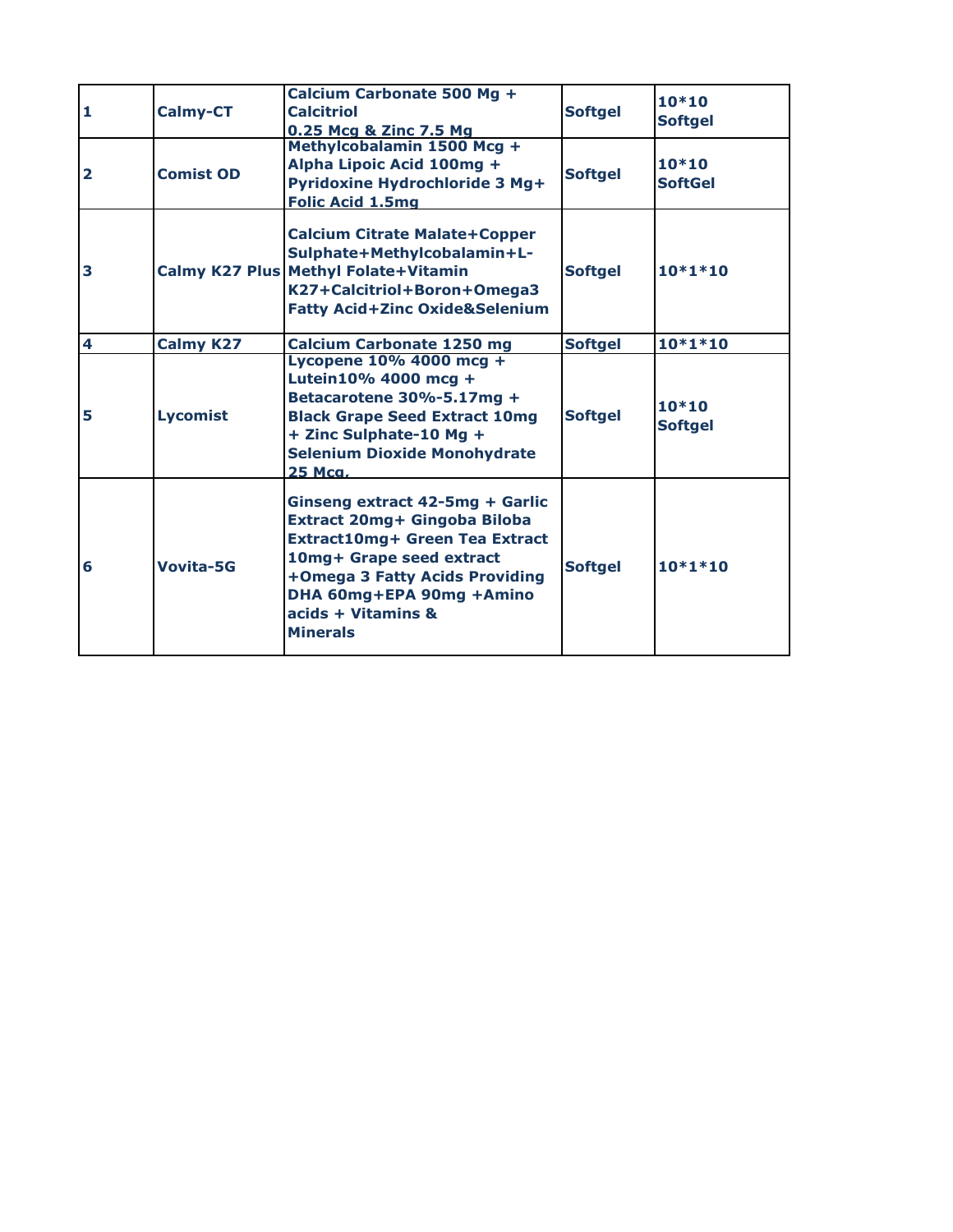| 1              | <b>Calmy-CT</b>  | Calcium Carbonate 500 Mg +<br><b>Calcitriol</b><br>0.25 Mcg & Zinc 7.5 Mg                                                                                                                                                                   | <b>Softgel</b> | $10*10$<br><b>Softgel</b> |
|----------------|------------------|---------------------------------------------------------------------------------------------------------------------------------------------------------------------------------------------------------------------------------------------|----------------|---------------------------|
| $\overline{2}$ | <b>Comist OD</b> | Methylcobalamin 1500 Mcg +<br>Alpha Lipoic Acid 100mg +<br>Pyridoxine Hydrochloride 3 Mg+<br><b>Folic Acid 1.5mg</b>                                                                                                                        | <b>Softgel</b> | $10*10$<br><b>SoftGel</b> |
| 3              |                  | <b>Calcium Citrate Malate+Copper</b><br>Sulphate+Methylcobalamin+L-<br>Calmy K27 Plus Methyl Folate+Vitamin<br>K27+Calcitriol+Boron+Omega3<br><b>Fatty Acid+Zinc Oxide&amp;Selenium</b>                                                     | <b>Softgel</b> | $10*1*10$                 |
| 4              | <b>Calmy K27</b> | <b>Calcium Carbonate 1250 mg</b>                                                                                                                                                                                                            | <b>Softgel</b> | $10*1*10$                 |
| 5              | <b>Lycomist</b>  | Lycopene 10% 4000 mcg +<br>Lutein10% 4000 mcg +<br>Betacarotene 30%-5.17mg +<br><b>Black Grape Seed Extract 10mg</b><br>+ Zinc Sulphate-10 Mg +<br><b>Selenium Dioxide Monohydrate</b><br>25 Mca.                                           | <b>Softgel</b> | $10*10$<br><b>Softgel</b> |
| 6              | Vovita-5G        | Ginseng extract 42-5mg + Garlic<br>Extract 20mg+ Gingoba Biloba<br><b>Extract10mg+ Green Tea Extract</b><br>10mg+ Grape seed extract<br>+Omega 3 Fatty Acids Providing<br>DHA 60mg+EPA 90mg +Amino<br>acids + Vitamins &<br><b>Minerals</b> | <b>Softgel</b> | $10*1*10$                 |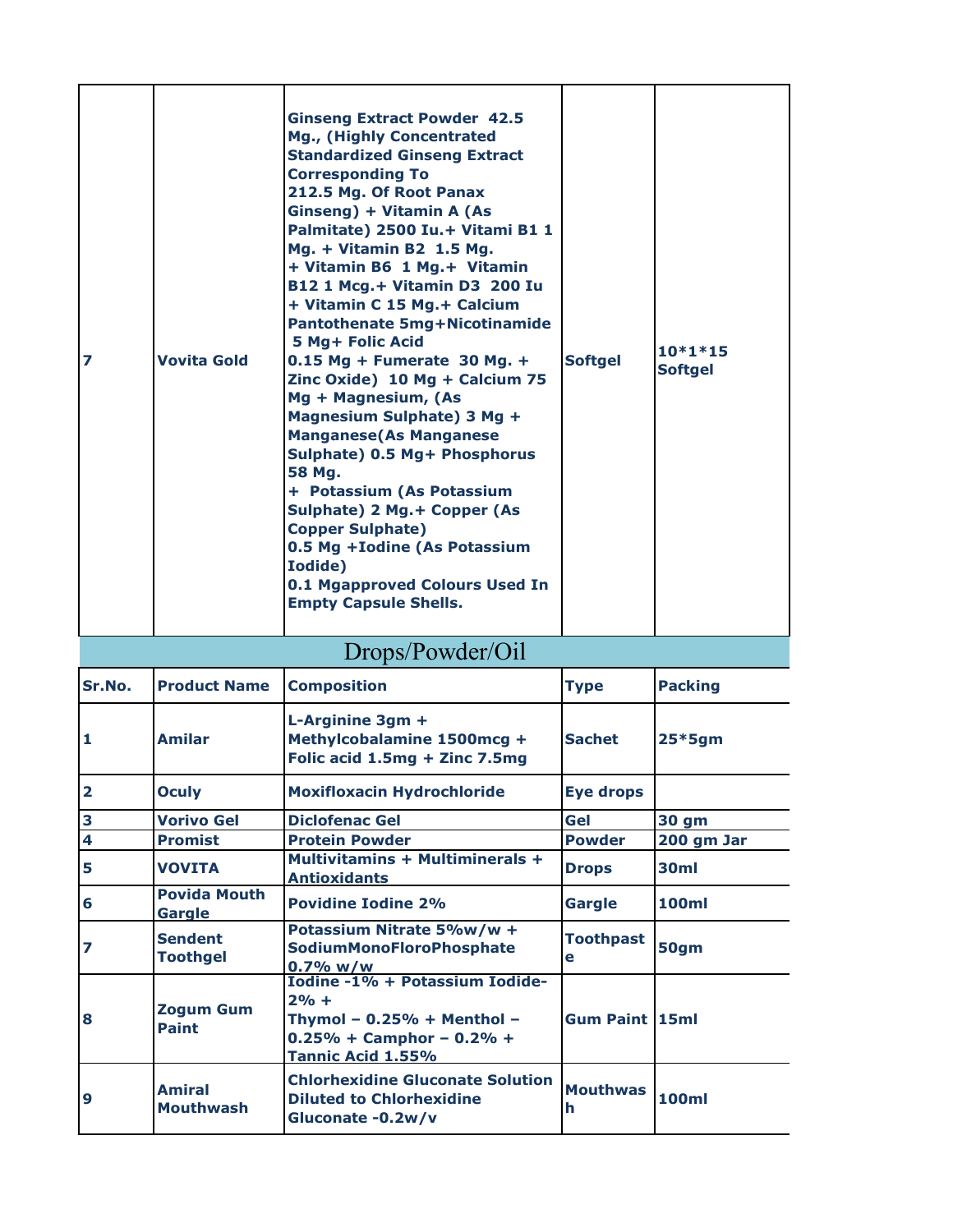| 7 | <b>Vovita Gold</b> | <b>Ginseng Extract Powder 42.5</b><br>Mg., (Highly Concentrated<br><b>Standardized Ginseng Extract</b><br><b>Corresponding To</b><br>212.5 Mg. Of Root Panax<br>Ginseng) + Vitamin A (As<br>Palmitate) 2500 Iu.+ Vitami B1 1<br>Mg. + Vitamin B2 1.5 Mg.<br>+ Vitamin B6 1 Mg. + Vitamin<br>B12 1 Mcg.+ Vitamin D3 200 Iu<br>+ Vitamin C 15 Mg. + Calcium<br><b>Pantothenate 5mg+Nicotinamide</b><br><b>5 Mg+ Folic Acid</b><br>$0.15$ Mg + Fumerate 30 Mg. +<br>Zinc Oxide) 10 Mg + Calcium 75<br>Mg + Magnesium, (As<br>Magnesium Sulphate) 3 Mg +<br><b>Manganese (As Manganese</b><br>Sulphate) 0.5 Mg+ Phosphorus<br>58 Ma.<br>+ Potassium (As Potassium<br>Sulphate) 2 Mg.+ Copper (As<br><b>Copper Sulphate)</b><br>0.5 Mg + Iodine (As Potassium<br><b>Iodide</b> )<br>0.1 Mgapproved Colours Used In<br><b>Empty Capsule Shells.</b> | <b>Softgel</b> | $10*1*15$<br><b>Softgel</b> |
|---|--------------------|-----------------------------------------------------------------------------------------------------------------------------------------------------------------------------------------------------------------------------------------------------------------------------------------------------------------------------------------------------------------------------------------------------------------------------------------------------------------------------------------------------------------------------------------------------------------------------------------------------------------------------------------------------------------------------------------------------------------------------------------------------------------------------------------------------------------------------------------------|----------------|-----------------------------|
|---|--------------------|-----------------------------------------------------------------------------------------------------------------------------------------------------------------------------------------------------------------------------------------------------------------------------------------------------------------------------------------------------------------------------------------------------------------------------------------------------------------------------------------------------------------------------------------------------------------------------------------------------------------------------------------------------------------------------------------------------------------------------------------------------------------------------------------------------------------------------------------------|----------------|-----------------------------|

## Drops/Powder/Oil

| Sr.No.                  | <b>Product Name</b>               | <b>Composition</b>                                                                                                               | <b>Type</b>           | <b>Packing</b>   |
|-------------------------|-----------------------------------|----------------------------------------------------------------------------------------------------------------------------------|-----------------------|------------------|
| 1                       | <b>Amilar</b>                     | L-Arginine 3gm +<br>Methylcobalamine 1500mcg +<br>Folic acid 1.5mg + Zinc 7.5mg                                                  | <b>Sachet</b>         | $25*5gm$         |
| $\overline{\mathbf{2}}$ | <b>Oculy</b>                      | <b>Moxifloxacin Hydrochloride</b>                                                                                                | <b>Eye drops</b>      |                  |
| 3                       | <b>Vorivo Gel</b>                 | <b>Diclofenac Gel</b>                                                                                                            | Gel                   | 30 gm            |
| $\overline{\mathbf{4}}$ | <b>Promist</b>                    | <b>Protein Powder</b>                                                                                                            | <b>Powder</b>         | 200 gm Jar       |
| 5                       | <b>VOVITA</b>                     | <b>Multivitamins + Multiminerals +</b><br><b>Antioxidants</b>                                                                    | <b>Drops</b>          | 30 <sub>ml</sub> |
| 6                       | <b>Povida Mouth</b><br>Gargle     | <b>Povidine Iodine 2%</b>                                                                                                        | Gargle                | 100ml            |
| 7                       | <b>Sendent</b><br><b>Toothgel</b> | Potassium Nitrate 5%w/w +<br><b>SodiumMonoFloroPhosphate</b><br>$0.7\%$ w/w                                                      | <b>Toothpast</b><br>e | 50gm             |
| 8                       | <b>Zogum Gum</b><br><b>Paint</b>  | Iodine -1% + Potassium Iodide-<br>$2% +$<br>Thymol - $0.25%$ + Menthol -<br>$0.25% + Campbell$ on- $0.2% +$<br>Tannic Acid 1.55% | <b>Gum Paint 15ml</b> |                  |
| 9                       | <b>Amiral</b><br><b>Mouthwash</b> | <b>Chlorhexidine Gluconate Solution</b><br><b>Diluted to Chlorhexidine</b><br>Gluconate -0.2w/v                                  | <b>Mouthwas</b><br>h  | <b>100ml</b>     |